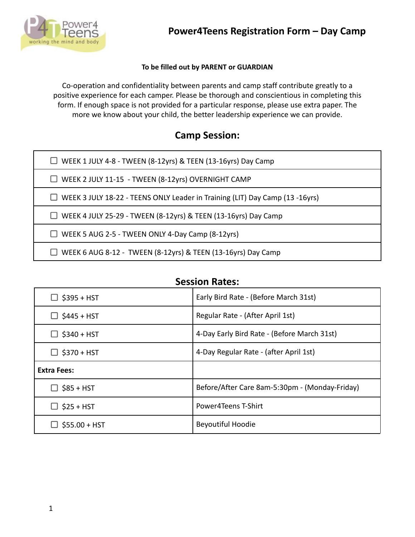

### **To be filled out by PARENT or GUARDIAN**

Co-operation and confidentiality between parents and camp staff contribute greatly to a positive experience for each camper. Please be thorough and conscientious in completing this form. If enough space is not provided for a particular response, please use extra paper. The more we know about your child, the better leadership experience we can provide.

### **Camp Session:**

| $\Box$ WEEK 1 JULY 4-8 - TWEEN (8-12yrs) & TEEN (13-16yrs) Day Camp                 |
|-------------------------------------------------------------------------------------|
| $\Box$ WEEK 2 JULY 11-15 - TWEEN (8-12yrs) OVERNIGHT CAMP                           |
| $\Box$ WEEK 3 JULY 18-22 - TEENS ONLY Leader in Training (LIT) Day Camp (13 -16yrs) |
| $\Box$ WEEK 4 JULY 25-29 - TWEEN (8-12yrs) & TEEN (13-16yrs) Day Camp               |
| $\Box$ WEEK 5 AUG 2-5 - TWEEN ONLY 4-Day Camp (8-12yrs)                             |
| $\Box$ WEEK 6 AUG 8-12 - TWEEN (8-12yrs) & TEEN (13-16yrs) Day Camp                 |

| $\Box$ \$395 + HST | Early Bird Rate - (Before March 31st)          |  |
|--------------------|------------------------------------------------|--|
| $\Box$ \$445 + HST | Regular Rate - (After April 1st)               |  |
| $\Box$ \$340 + HST | 4-Day Early Bird Rate - (Before March 31st)    |  |
| $\Box$ \$370 + HST | 4-Day Regular Rate - (after April 1st)         |  |
| <b>Extra Fees:</b> |                                                |  |
| $\Box$ \$85 + HST  | Before/After Care 8am-5:30pm - (Monday-Friday) |  |
| $\Box$ \$25 + HST  | Power4Teens T-Shirt                            |  |
| $$55.00 + HST$     | <b>Beyoutiful Hoodie</b>                       |  |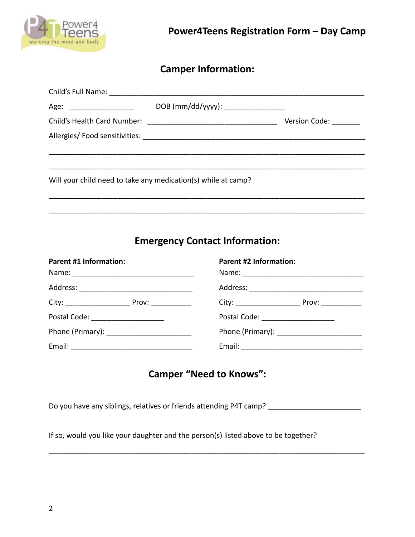

# **Camper Information:**

| Age: ____________________                                     | DOB (mm/dd/yyyy): _________________ |               |
|---------------------------------------------------------------|-------------------------------------|---------------|
|                                                               |                                     | Version Code: |
|                                                               |                                     |               |
|                                                               |                                     |               |
|                                                               |                                     |               |
| Will your child need to take any medication(s) while at camp? |                                     |               |
|                                                               |                                     |               |
|                                                               |                                     |               |

# **Emergency Contact Information:**

| <b>Parent #1 Information:</b>         | <b>Parent #2 Information:</b>      |  |
|---------------------------------------|------------------------------------|--|
|                                       |                                    |  |
|                                       |                                    |  |
|                                       |                                    |  |
| Postal Code: ________________________ | Postal Code: _____________________ |  |
|                                       |                                    |  |
|                                       |                                    |  |

## **Camper "Need to Knows":**

Do you have any siblings, relatives or friends attending P4T camp? \_\_\_\_\_\_\_\_\_\_\_\_\_

\_\_\_\_\_\_\_\_\_\_\_\_\_\_\_\_\_\_\_\_\_\_\_\_\_\_\_\_\_\_\_\_\_\_\_\_\_\_\_\_\_\_\_\_\_\_\_\_\_\_\_\_\_\_\_\_\_\_\_\_\_\_\_\_\_\_\_\_\_\_\_\_\_\_\_\_\_\_

If so, would you like your daughter and the person(s) listed above to be together?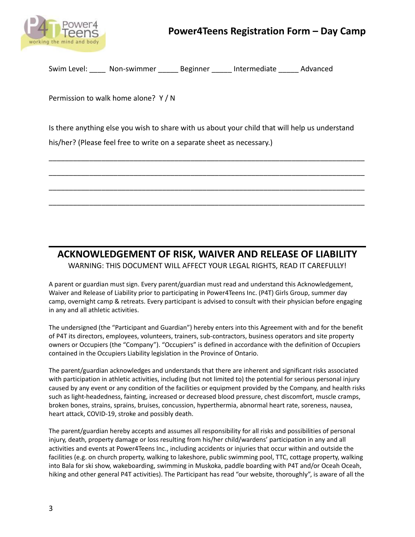

## **Power4Teens Registration Form – Day Camp**

Swim Level: \_\_\_\_\_ Non-swimmer \_\_\_\_\_\_ Beginner \_\_\_\_\_ Intermediate \_\_\_\_\_ Advanced

Permission to walk home alone? Y / N

Is there anything else you wish to share with us about your child that will help us understand

\_\_\_\_\_\_\_\_\_\_\_\_\_\_\_\_\_\_\_\_\_\_\_\_\_\_\_\_\_\_\_\_\_\_\_\_\_\_\_\_\_\_\_\_\_\_\_\_\_\_\_\_\_\_\_\_\_\_\_\_\_\_\_\_\_\_\_\_\_\_\_\_\_\_\_\_\_\_

\_\_\_\_\_\_\_\_\_\_\_\_\_\_\_\_\_\_\_\_\_\_\_\_\_\_\_\_\_\_\_\_\_\_\_\_\_\_\_\_\_\_\_\_\_\_\_\_\_\_\_\_\_\_\_\_\_\_\_\_\_\_\_\_\_\_\_\_\_\_\_\_\_\_\_\_\_\_

\_\_\_\_\_\_\_\_\_\_\_\_\_\_\_\_\_\_\_\_\_\_\_\_\_\_\_\_\_\_\_\_\_\_\_\_\_\_\_\_\_\_\_\_\_\_\_\_\_\_\_\_\_\_\_\_\_\_\_\_\_\_\_\_\_\_\_\_\_\_\_\_\_\_\_\_\_\_

\_\_\_\_\_\_\_\_\_\_\_\_\_\_\_\_\_\_\_\_\_\_\_\_\_\_\_\_\_\_\_\_\_\_\_\_\_\_\_\_\_\_\_\_\_\_\_\_\_\_\_\_\_\_\_\_\_\_\_\_\_\_\_\_\_\_\_\_\_\_\_\_\_\_\_\_\_\_

his/her? (Please feel free to write on a separate sheet as necessary.)

# **ACKNOWLEDGEMENT OF RISK, WAIVER AND RELEASE OF LIABILITY**

WARNING: THIS DOCUMENT WILL AFFECT YOUR LEGAL RIGHTS, READ IT CAREFULLY!

A parent or guardian must sign. Every parent/guardian must read and understand this Acknowledgement, Waiver and Release of Liability prior to participating in Power4Teens Inc. (P4T) Girls Group, summer day camp, overnight camp & retreats. Every participant is advised to consult with their physician before engaging in any and all athletic activities.

The undersigned (the "Participant and Guardian") hereby enters into this Agreement with and for the benefit of P4T its directors, employees, volunteers, trainers, sub-contractors, business operators and site property owners or Occupiers (the "Company"). "Occupiers" is defined in accordance with the definition of Occupiers contained in the Occupiers Liability legislation in the Province of Ontario.

The parent/guardian acknowledges and understands that there are inherent and significant risks associated with participation in athletic activities, including (but not limited to) the potential for serious personal injury caused by any event or any condition of the facilities or equipment provided by the Company, and health risks such as light-headedness, fainting, increased or decreased blood pressure, chest discomfort, muscle cramps, broken bones, strains, sprains, bruises, concussion, hyperthermia, abnormal heart rate, soreness, nausea, heart attack, COVID-19, stroke and possibly death.

The parent/guardian hereby accepts and assumes all responsibility for all risks and possibilities of personal injury, death, property damage or loss resulting from his/her child/wardens' participation in any and all activities and events at Power4Teens Inc., including accidents or injuries that occur within and outside the facilities (e.g. on church property, walking to lakeshore, public swimming pool, TTC, cottage property, walking into Bala for ski show, wakeboarding, swimming in Muskoka, paddle boarding with P4T and/or Oceah Oceah, hiking and other general P4T activities). The Participant has read "our website, thoroughly", is aware of all the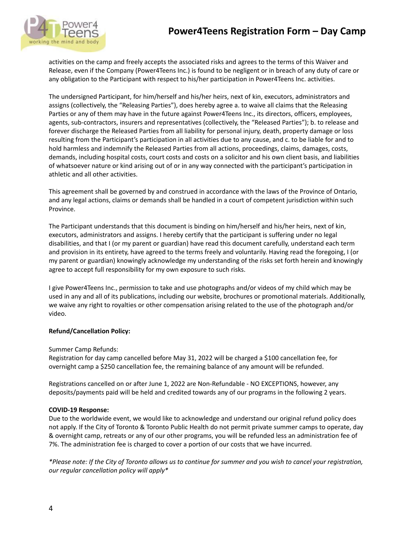

activities on the camp and freely accepts the associated risks and agrees to the terms of this Waiver and Release, even if the Company (Power4Teens Inc.) is found to be negligent or in breach of any duty of care or any obligation to the Participant with respect to his/her participation in Power4Teens Inc. activities.

The undersigned Participant, for him/herself and his/her heirs, next of kin, executors, administrators and assigns (collectively, the "Releasing Parties"), does hereby agree a. to waive all claims that the Releasing Parties or any of them may have in the future against Power4Teens Inc., its directors, officers, employees, agents, sub-contractors, insurers and representatives (collectively, the "Released Parties"); b. to release and forever discharge the Released Parties from all liability for personal injury, death, property damage or loss resulting from the Participant's participation in all activities due to any cause, and c. to be liable for and to hold harmless and indemnify the Released Parties from all actions, proceedings, claims, damages, costs, demands, including hospital costs, court costs and costs on a solicitor and his own client basis, and liabilities of whatsoever nature or kind arising out of or in any way connected with the participant's participation in athletic and all other activities.

This agreement shall be governed by and construed in accordance with the laws of the Province of Ontario, and any legal actions, claims or demands shall be handled in a court of competent jurisdiction within such Province.

The Participant understands that this document is binding on him/herself and his/her heirs, next of kin, executors, administrators and assigns. I hereby certify that the participant is suffering under no legal disabilities, and that I (or my parent or guardian) have read this document carefully, understand each term and provision in its entirety, have agreed to the terms freely and voluntarily. Having read the foregoing, I (or my parent or guardian) knowingly acknowledge my understanding of the risks set forth herein and knowingly agree to accept full responsibility for my own exposure to such risks.

I give Power4Teens Inc., permission to take and use photographs and/or videos of my child which may be used in any and all of its publications, including our website, brochures or promotional materials. Additionally, we waive any right to royalties or other compensation arising related to the use of the photograph and/or video.

### **Refund/Cancellation Policy:**

Summer Camp Refunds:

Registration for day camp cancelled before May 31, 2022 will be charged a \$100 cancellation fee, for overnight camp a \$250 cancellation fee, the remaining balance of any amount will be refunded.

Registrations cancelled on or after June 1, 2022 are Non-Refundable - NO EXCEPTIONS, however, any deposits/payments paid will be held and credited towards any of our programs in the following 2 years.

#### **COVID-19 Response:**

Due to the worldwide event, we would like to acknowledge and understand our original refund policy does not apply. If the City of Toronto & Toronto Public Health do not permit private summer camps to operate, day & overnight camp, retreats or any of our other programs, you will be refunded less an administration fee of 7%. The administration fee is charged to cover a portion of our costs that we have incurred.

*\*Please note: If the City of Toronto allows us to continue for summer and you wish to cancel your registration, our regular cancellation policy will apply\**